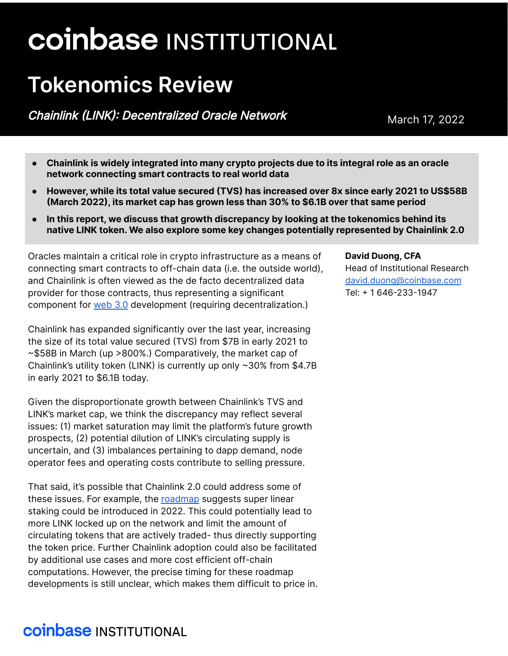# **coinbase INSTITUTIONAL**

## **Tokenomics Review**

Chainlink (LINK): Decentralized Oracle Network March 17, 2022

- **● Chainlink is widely integrated into many crypto projects due to its integral role as an oracle network connecting smart contracts to real world data**
- **● However, while its total value secured (TVS) has increased over 8x since early 2021 to US\$58B (March 2022), its market cap has grown less than 30% to \$6.1B over that same period**
- **● In this report, we discuss that growth discrepancy by looking at the tokenomics behind its native LINK token. We also explore some key changes potentially represented by Chainlink 2.0**

Oracles maintain a critical role in crypto infrastructure as a means of connecting smart contracts to off-chain data (i.e. the outside world), and Chainlink is often viewed as the de facto decentralized data provider for those contracts, thus representing a significant component for [web](https://blog.coinbase.com/understanding-web-3-a-user-controlled-internet-a39c21cf83f3) 3.0 development (requiring decentralization.)

Chainlink has expanded significantly over the last year, increasing the size of its total value secured (TVS) from \$7B in early 2021 to ~\$58B in March (up >800%.) Comparatively, the market cap of Chainlink's utility token (LINK) is currently up only ~30% from \$4.7B in early 2021 to \$6.1B today.

Given the disproportionate growth between Chainlink's TVS and LINK's market cap, we think the discrepancy may reflect several issues: (1) market saturation may limit the platform's future growth prospects, (2) potential dilution of LINK's circulating supply is uncertain, and (3) imbalances pertaining to dapp demand, node operator fees and operating costs contribute to selling pressure.

That said, it's possible that Chainlink 2.0 could address some of these issues. For example, the [roadmap](https://www.youtube.com/watch?v=YShbzR7mlog) suggests super linear staking could be introduced in 2022. This could potentially lead to more LINK locked up on the network and limit the amount of circulating tokens that are actively traded- thus directly supporting the token price. Further Chainlink adoption could also be facilitated by additional use cases and more cost efficient off-chain computations. However, the precise timing for these roadmap developments is still unclear, which makes them difficult to price in. **David Duong, CFA** Head of Institutional Research [david.duong@coinbase.com](mailto:david.duong@coinbase.com) Tel: + 1 646-233-1947

## **coinbase INSTITUTIONAL**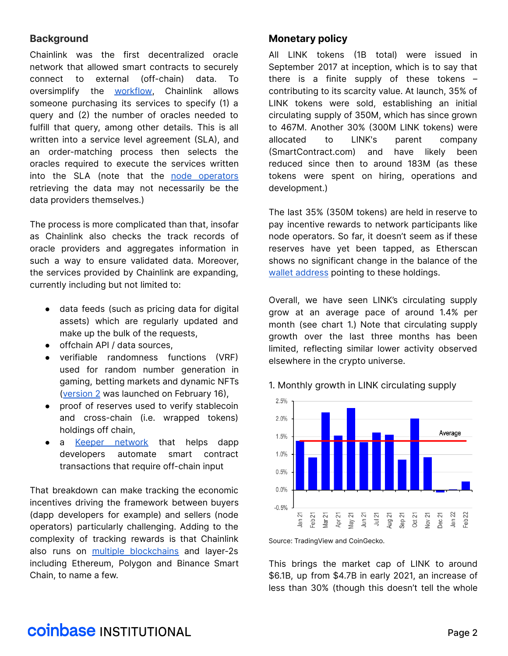#### **Background**

Chainlink was the first decentralized oracle network that allowed smart contracts to securely connect to external (off-chain) data. To oversimplify the [workflow](https://research.chain.link/whitepaper-v1.pdf), Chainlink allows someone purchasing its services to specify (1) a query and (2) the number of oracles needed to fulfill that query, among other details. This is all written into a service level agreement (SLA), and an order-matching process then selects the oracles required to execute the services written into the SLA (note that the node [operators](https://blog.chain.link/what-is-a-chainlink-node-operator/) retrieving the data may not necessarily be the data providers themselves.)

The process is more complicated than that, insofar as Chainlink also checks the track records of oracle providers and aggregates information in such a way to ensure validated data. Moreover, the services provided by Chainlink are expanding, currently including but not limited to:

- data feeds (such as pricing data for digital assets) which are regularly updated and make up the bulk of the requests,
- offchain API / data sources,
- verifiable randomness functions (VRF) used for random number generation in gaming, betting markets and dynamic NFTs ([version](https://blog.chain.link/vrf-v2-mainnet-launch/) 2 was launched on February 16),
- proof of reserves used to verify stablecoin and cross-chain (i.e. wrapped tokens) holdings off chain,
- a Keeper [network](https://docs.chain.link/docs/chainlink-keepers/introduction/) that helps dapp developers automate smart contract transactions that require off-chain input

That breakdown can make tracking the economic incentives driving the framework between buyers (dapp developers for example) and sellers (node operators) particularly challenging. Adding to the complexity of tracking rewards is that Chainlink also runs on multiple [blockchains](https://data.chain.link/) and layer-2s including Ethereum, Polygon and Binance Smart Chain, to name a few.

#### **Monetary policy**

All LINK tokens (1B total) were issued in September 2017 at inception, which is to say that there is a finite supply of these tokens – contributing to its scarcity value. At launch, 35% of LINK tokens were sold, establishing an initial circulating supply of 350M, which has since grown to 467M. Another 30% (300M LINK tokens) were allocated to LINK's parent company (SmartContract.com) and have likely been reduced since then to around 183M (as these tokens were spent on hiring, operations and development.)

The last 35% (350M tokens) are held in reserve to pay incentive rewards to network participants like node operators. So far, it doesn't seem as if these reserves have yet been tapped, as Etherscan shows no significant change in the balance of the wallet [address](https://etherscan.io/token/0x514910771af9ca656af840dff83e8264ecf986ca?a=0x98c63b7b319dfbdf3d811530f2ab9dfe4983af9d) pointing to these holdings.

Overall, we have seen LINK's circulating supply grow at an average pace of around 1.4% per month (see chart 1.) Note that circulating supply growth over the last three months has been limited, reflecting similar lower activity observed elsewhere in the crypto universe.





Source: TradingView and CoinGecko.

This brings the market cap of LINK to around \$6.1B, up from \$4.7B in early 2021, an increase of less than 30% (though this doesn't tell the whole

## **COINDASE INSTITUTIONAL**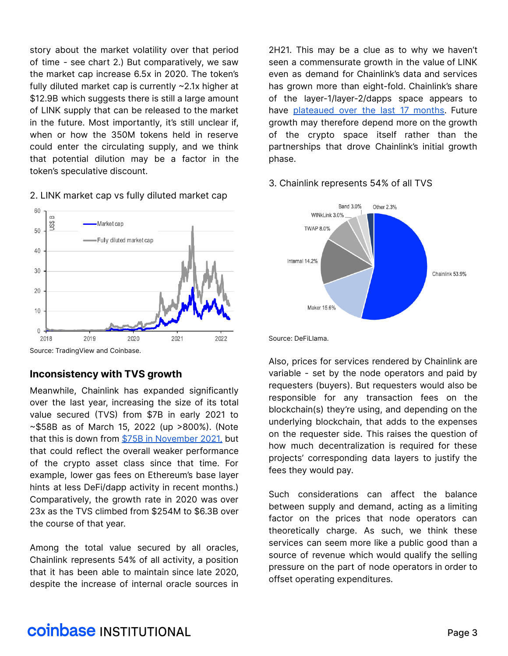story about the market volatility over that period of time - see chart 2.) But comparatively, we saw the market cap increase 6.5x in 2020. The token's fully diluted market cap is currently ~2.1x higher at \$12.9B which suggests there is still a large amount of LINK supply that can be released to the market in the future. Most importantly, it's still unclear if, when or how the 350M tokens held in reserve could enter the circulating supply, and we think that potential dilution may be a factor in the token's speculative discount.

#### 60  $\infty$ Market cap US\$ 50 Fully diluted market cap 40 30 20  $10$  $\mathbf 0$ 2019 2020 2018 2021 2022

#### 2. LINK market cap vs fully diluted market cap

#### **Inconsistency with TVS growth**

Meanwhile, Chainlink has expanded significantly over the last year, increasing the size of its total value secured (TVS) from \$7B in early 2021 to ~\$58B as of March 15, 2022 (up >800%). (Note that this is down from \$75B in [November](https://chainlinktoday.com/chainlink-announces-its-total-value-secured-tvs-is-now-over-75-billion/) 2021, but that could reflect the overall weaker performance of the crypto asset class since that time. For example, lower gas fees on Ethereum's base layer hints at less DeFi/dapp activity in recent months.) Comparatively, the growth rate in 2020 was over 23x as the TVS climbed from \$254M to \$6.3B over the course of that year.

Among the total value secured by all oracles, Chainlink represents 54% of all activity, a position that it has been able to maintain since late 2020, despite the increase of internal oracle sources in 2H21. This may be a clue as to why we haven't seen a commensurate growth in the value of LINK even as demand for Chainlink's data and services has grown more than eight-fold. Chainlink's share of the layer-1/layer-2/dapps space appears to have [plateaued](https://defillama.com/oracles) over the last 17 months. Future growth may therefore depend more on the growth of the crypto space itself rather than the partnerships that drove Chainlink's initial growth phase.

#### 3. Chainlink represents 54% of all TVS



Source: DeFiLlama.

Also, prices for services rendered by Chainlink are variable - set by the node operators and paid by requesters (buyers). But requesters would also be responsible for any transaction fees on the blockchain(s) they're using, and depending on the underlying blockchain, that adds to the expenses on the requester side. This raises the question of how much decentralization is required for these projects' corresponding data layers to justify the fees they would pay.

Such considerations can affect the balance between supply and demand, acting as a limiting factor on the prices that node operators can theoretically charge. As such, we think these services can seem more like a public good than a source of revenue which would qualify the selling pressure on the part of node operators in order to offset operating expenditures.

## **COINDASE INSTITUTIONAL**

Source: TradingView and Coinbase.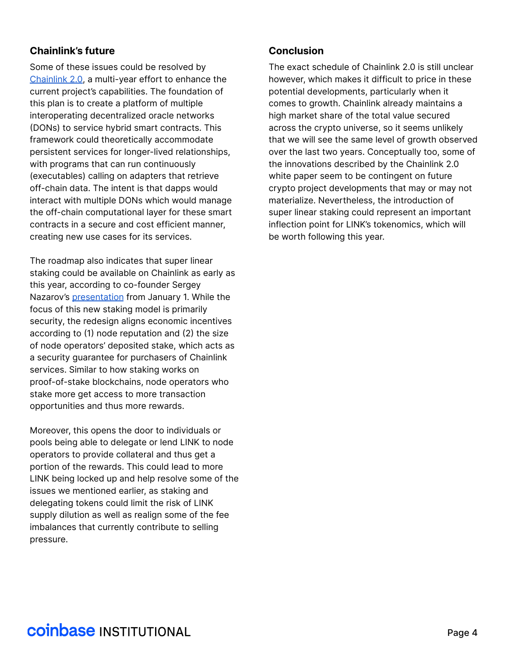#### **Chainlink's future**

Some of these issues could be resolved by [Chainlink](https://chain.link/whitepaper) 2.0, a multi-year effort to enhance the current project's capabilities. The foundation of this plan is to create a platform of multiple interoperating decentralized oracle networks (DONs) to service hybrid smart contracts. This framework could theoretically accommodate persistent services for longer-lived relationships, with programs that can run continuously (executables) calling on adapters that retrieve off-chain data. The intent is that dapps would interact with multiple DONs which would manage the off-chain computational layer for these smart contracts in a secure and cost efficient manner, creating new use cases for its services.

The roadmap also indicates that super linear staking could be available on Chainlink as early as this year, according to co-founder Sergey Nazarov's [presentation](https://www.youtube.com/watch?v=YShbzR7mlog) from January 1. While the focus of this new staking model is primarily security, the redesign aligns economic incentives according to (1) node reputation and (2) the size of node operators' deposited stake, which acts as a security guarantee for purchasers of Chainlink services. Similar to how staking works on proof-of-stake blockchains, node operators who stake more get access to more transaction opportunities and thus more rewards.

Moreover, this opens the door to individuals or pools being able to delegate or lend LINK to node operators to provide collateral and thus get a portion of the rewards. This could lead to more LINK being locked up and help resolve some of the issues we mentioned earlier, as staking and delegating tokens could limit the risk of LINK supply dilution as well as realign some of the fee imbalances that currently contribute to selling pressure.

#### **Conclusion**

The exact schedule of Chainlink 2.0 is still unclear however, which makes it difficult to price in these potential developments, particularly when it comes to growth. Chainlink already maintains a high market share of the total value secured across the crypto universe, so it seems unlikely that we will see the same level of growth observed over the last two years. Conceptually too, some of the innovations described by the Chainlink 2.0 white paper seem to be contingent on future crypto project developments that may or may not materialize. Nevertheless, the introduction of super linear staking could represent an important inflection point for LINK's tokenomics, which will be worth following this year.

## **COINDASE INSTITUTIONAL**